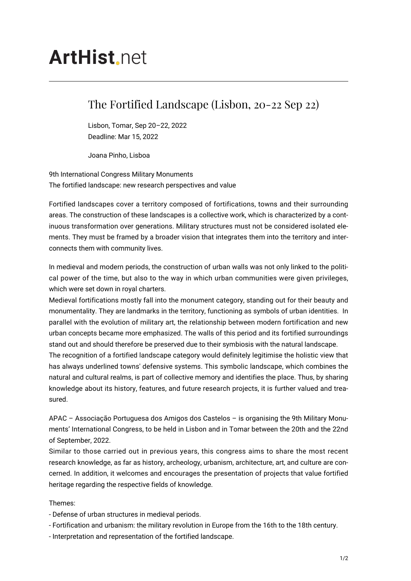## **ArtHist** net

## The Fortified Landscape (Lisbon, 20-22 Sep 22)

Lisbon, Tomar, Sep 20–22, 2022 Deadline: Mar 15, 2022

Joana Pinho, Lisboa

9th International Congress Military Monuments The fortified landscape: new research perspectives and value

Fortified landscapes cover a territory composed of fortifications, towns and their surrounding areas. The construction of these landscapes is a collective work, which is characterized by a continuous transformation over generations. Military structures must not be considered isolated elements. They must be framed by a broader vision that integrates them into the territory and interconnects them with community lives.

In medieval and modern periods, the construction of urban walls was not only linked to the political power of the time, but also to the way in which urban communities were given privileges, which were set down in royal charters.

Medieval fortifications mostly fall into the monument category, standing out for their beauty and monumentality. They are landmarks in the territory, functioning as symbols of urban identities. In parallel with the evolution of military art, the relationship between modern fortification and new urban concepts became more emphasized. The walls of this period and its fortified surroundings stand out and should therefore be preserved due to their symbiosis with the natural landscape.

The recognition of a fortified landscape category would definitely legitimise the holistic view that has always underlined towns' defensive systems. This symbolic landscape, which combines the natural and cultural realms, is part of collective memory and identifies the place. Thus, by sharing knowledge about its history, features, and future research projects, it is further valued and treasured.

APAC – Associação Portuguesa dos Amigos dos Castelos – is organising the 9th Military Monuments' International Congress, to be held in Lisbon and in Tomar between the 20th and the 22nd of September, 2022.

Similar to those carried out in previous years, this congress aims to share the most recent research knowledge, as far as history, archeology, urbanism, architecture, art, and culture are concerned. In addition, it welcomes and encourages the presentation of projects that value fortified heritage regarding the respective fields of knowledge.

## Themes:

- Defense of urban structures in medieval periods.

- Fortification and urbanism: the military revolution in Europe from the 16th to the 18th century.

- Interpretation and representation of the fortified landscape.